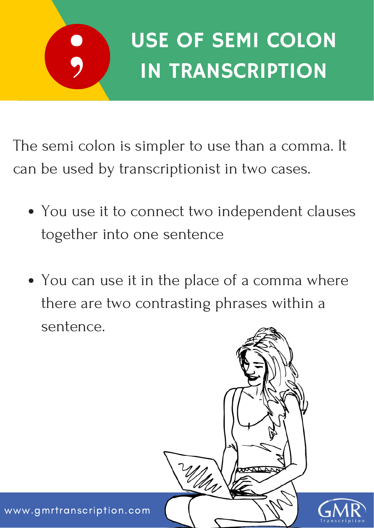

## USE OF SEMI COLON IN TRANSCRIPTION

The semi colon is simpler to use than a comma. It can be used by transcriptionist in two cases.

- You use it to connect two independent clauses together into one sentence
- You can use it in the place of a comma where there are two contrasting phrases within a sentence.



www.gmrtranscription.com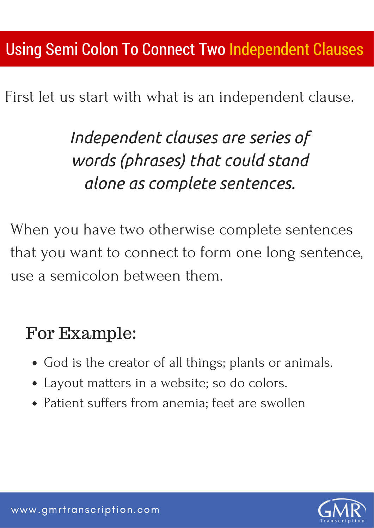First let us start with what is an independent clause.

*Independent clauses are series of words (phrases) that could stand alone as complete sentences.*

When you have two otherwise complete sentences that you want to connect to form one long sentence, use a semicolon between them.

## For Example:

- God is the creator of all things; plants or animals.
- Layout matters in a website; so do colors.
- Patient suffers from anemia; feet are swollen

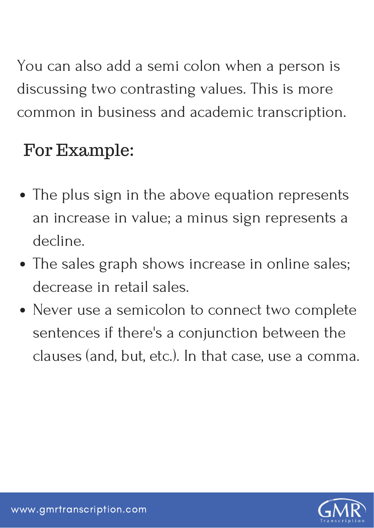You can also add a semi colon when a person is discussing two contrasting values. This is more common in business and academic transcription.

## For Example:

- The plus sign in the above equation represents an increase in value; a minus sign represents a decline.
- The sales graph shows increase in online sales; decrease in retail sales.
- Never use a semicolon to connect two complete sentences if there's a conjunction between the clauses (and, but, etc.). In that case, use a comma.